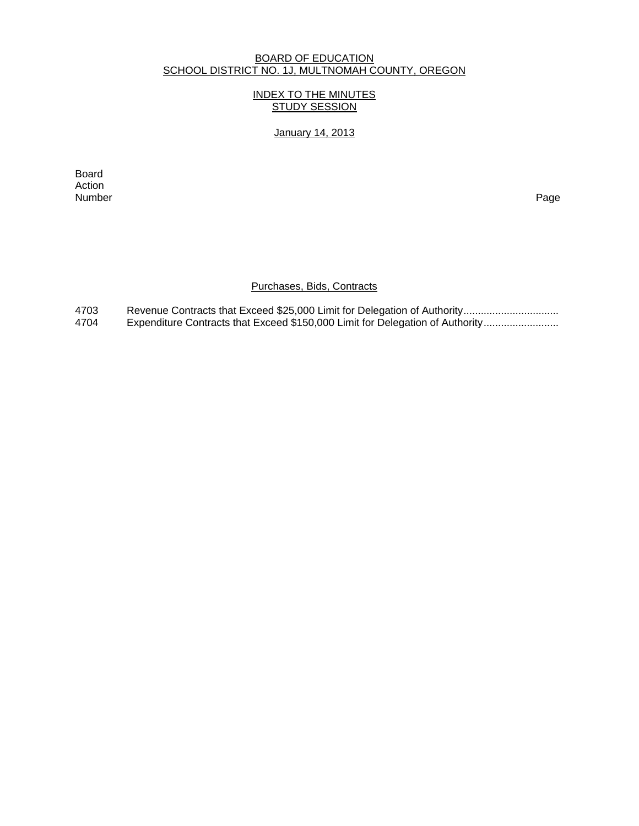#### BOARD OF EDUCATION SCHOOL DISTRICT NO. 1J, MULTNOMAH COUNTY, OREGON

### INDEX TO THE MINUTES STUDY SESSION

## January 14, 2013

extending the control of the control of the control of the control of the control of the control of the control of the control of the control of the control of the control of the control of the control of the control of th Action<br>Number Number Page

### Purchases, Bids, Contracts

4703 Revenue Contracts that Exceed \$25,000 Limit for Delegation of Authority................................. 4704 Expenditure Contracts that Exceed \$150,000 Limit for Delegation of Authority.........................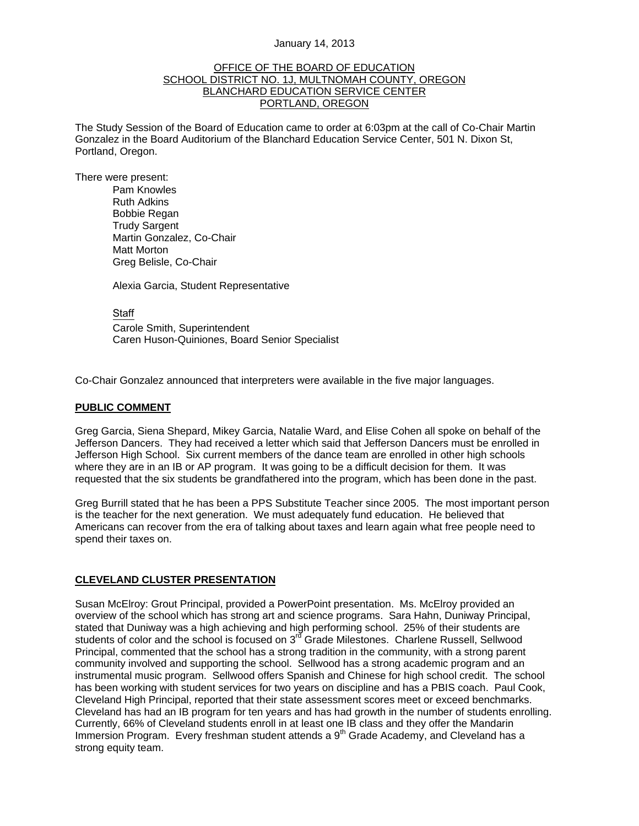#### January 14, 2013

#### OFFICE OF THE BOARD OF EDUCATION SCHOOL DISTRICT NO. 1J, MULTNOMAH COUNTY, OREGON BLANCHARD EDUCATION SERVICE CENTER PORTLAND, OREGON

The Study Session of the Board of Education came to order at 6:03pm at the call of Co-Chair Martin Gonzalez in the Board Auditorium of the Blanchard Education Service Center, 501 N. Dixon St, Portland, Oregon.

There were present: Pam Knowles

Ruth Adkins Bobbie Regan Trudy Sargent Martin Gonzalez, Co-Chair Matt Morton Greg Belisle, Co-Chair

Alexia Garcia, Student Representative

**Staff**  Carole Smith, Superintendent Caren Huson-Quiniones, Board Senior Specialist

Co-Chair Gonzalez announced that interpreters were available in the five major languages.

#### **PUBLIC COMMENT**

Greg Garcia, Siena Shepard, Mikey Garcia, Natalie Ward, and Elise Cohen all spoke on behalf of the Jefferson Dancers. They had received a letter which said that Jefferson Dancers must be enrolled in Jefferson High School. Six current members of the dance team are enrolled in other high schools where they are in an IB or AP program. It was going to be a difficult decision for them. It was requested that the six students be grandfathered into the program, which has been done in the past.

Greg Burrill stated that he has been a PPS Substitute Teacher since 2005. The most important person is the teacher for the next generation. We must adequately fund education. He believed that Americans can recover from the era of talking about taxes and learn again what free people need to spend their taxes on.

#### **CLEVELAND CLUSTER PRESENTATION**

Susan McElroy: Grout Principal, provided a PowerPoint presentation. Ms. McElroy provided an overview of the school which has strong art and science programs. Sara Hahn, Duniway Principal, stated that Duniway was a high achieving and high performing school. 25% of their students are students of color and the school is focused on 3<sup>rd</sup> Grade Milestones. Charlene Russell, Sellwood Principal, commented that the school has a strong tradition in the community, with a strong parent community involved and supporting the school. Sellwood has a strong academic program and an instrumental music program. Sellwood offers Spanish and Chinese for high school credit. The school has been working with student services for two years on discipline and has a PBIS coach. Paul Cook, Cleveland High Principal, reported that their state assessment scores meet or exceed benchmarks. Cleveland has had an IB program for ten years and has had growth in the number of students enrolling. Currently, 66% of Cleveland students enroll in at least one IB class and they offer the Mandarin Immersion Program. Every freshman student attends a  $9<sup>th</sup>$  Grade Academy, and Cleveland has a strong equity team.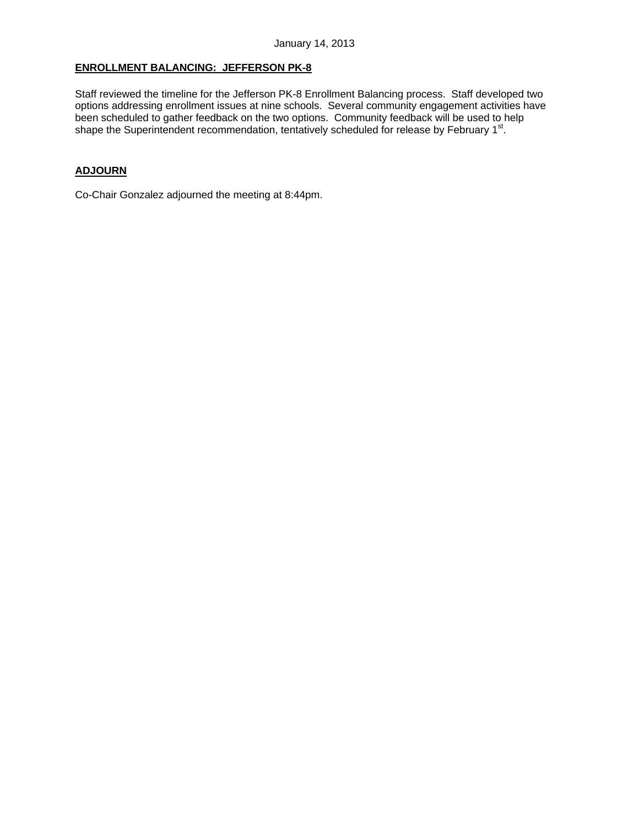### **ENROLLMENT BALANCING: JEFFERSON PK-8**

Staff reviewed the timeline for the Jefferson PK-8 Enrollment Balancing process. Staff developed two options addressing enrollment issues at nine schools. Several community engagement activities have been scheduled to gather feedback on the two options. Community feedback will be used to help shape the Superintendent recommendation, tentatively scheduled for release by February 1<sup>st</sup>.

### **ADJOURN**

Co-Chair Gonzalez adjourned the meeting at 8:44pm.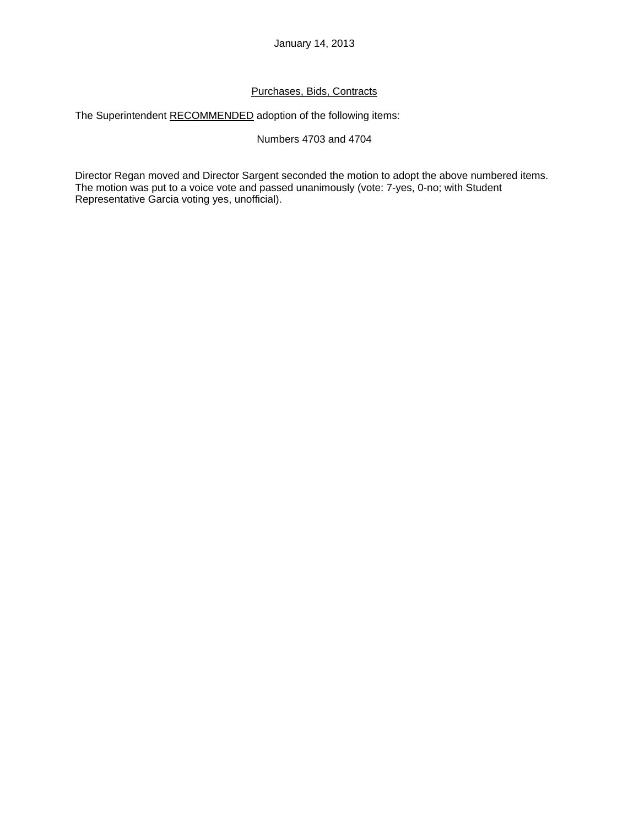## Purchases, Bids, Contracts

The Superintendent RECOMMENDED adoption of the following items:

## Numbers 4703 and 4704

Director Regan moved and Director Sargent seconded the motion to adopt the above numbered items. The motion was put to a voice vote and passed unanimously (vote: 7-yes, 0-no; with Student Representative Garcia voting yes, unofficial).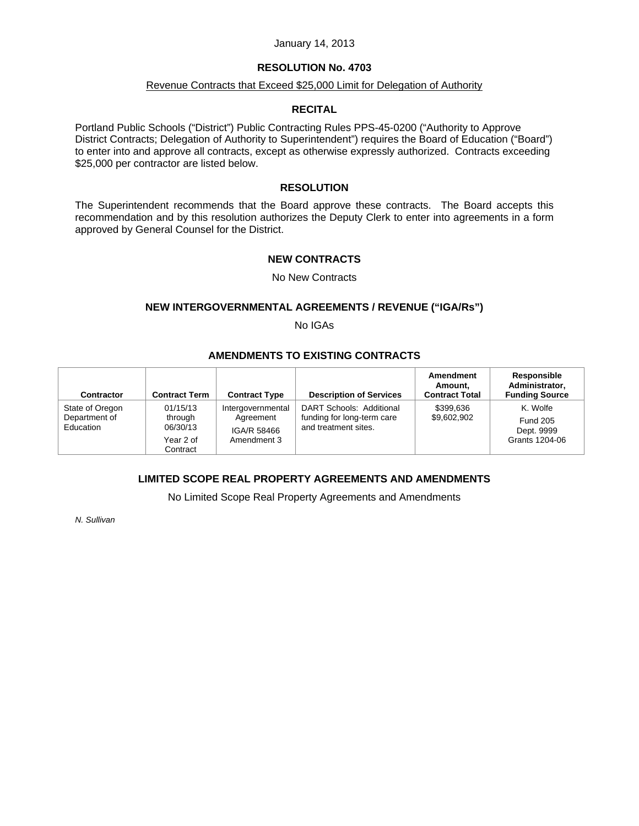#### January 14, 2013

### **RESOLUTION No. 4703**

## Revenue Contracts that Exceed \$25,000 Limit for Delegation of Authority

### **RECITAL**

Portland Public Schools ("District") Public Contracting Rules PPS-45-0200 ("Authority to Approve District Contracts; Delegation of Authority to Superintendent") requires the Board of Education ("Board") to enter into and approve all contracts, except as otherwise expressly authorized. Contracts exceeding \$25,000 per contractor are listed below.

### **RESOLUTION**

The Superintendent recommends that the Board approve these contracts. The Board accepts this recommendation and by this resolution authorizes the Deputy Clerk to enter into agreements in a form approved by General Counsel for the District.

### **NEW CONTRACTS**

### No New Contracts

### **NEW INTERGOVERNMENTAL AGREEMENTS / REVENUE ("IGA/Rs")**

No IGAs

## **AMENDMENTS TO EXISTING CONTRACTS**

| <b>Contractor</b>                             | <b>Contract Term</b>                                     | <b>Contract Type</b>                                         | <b>Description of Services</b>                                                 | Amendment<br>Amount.<br><b>Contract Total</b> | Responsible<br>Administrator.<br><b>Funding Source</b>      |
|-----------------------------------------------|----------------------------------------------------------|--------------------------------------------------------------|--------------------------------------------------------------------------------|-----------------------------------------------|-------------------------------------------------------------|
| State of Oregon<br>Department of<br>Education | 01/15/13<br>through<br>06/30/13<br>Year 2 of<br>Contract | Intergovernmental<br>Agreement<br>IGA/R 58466<br>Amendment 3 | DART Schools: Additional<br>funding for long-term care<br>and treatment sites. | \$399.636<br>\$9,602,902                      | K. Wolfe<br><b>Fund 205</b><br>Dept. 9999<br>Grants 1204-06 |

## **LIMITED SCOPE REAL PROPERTY AGREEMENTS AND AMENDMENTS**

No Limited Scope Real Property Agreements and Amendments

*N. Sullivan*